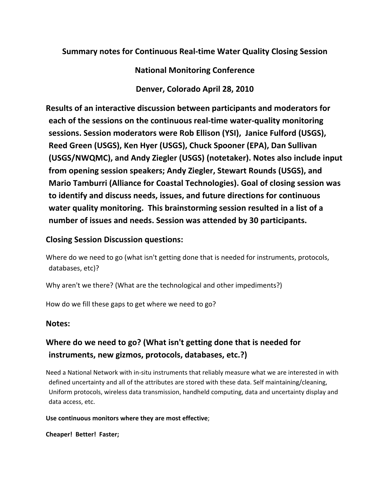**Summary notes for Continuous Real‐time Water Quality Closing Session**

**National Monitoring Conference** 

**Denver, Colorado April 28, 2010**

**Results of an interactive discussion between participants and moderators for each of the sessions on the continuous real‐time water‐quality monitoring sessions. Session moderators were Rob Ellison (YSI), Janice Fulford (USGS), Reed Green (USGS), Ken Hyer (USGS), Chuck Spooner (EPA), Dan Sullivan (USGS/NWQMC), and Andy Ziegler (USGS) (notetaker). Notes also include input from opening session speakers; Andy Ziegler, Stewart Rounds (USGS), and Mario Tamburri (Alliance for Coastal Technologies). Goal of closing session was to identify and discuss needs, issues, and future directions for continuous water quality monitoring. This brainstorming session resulted in a list of a number of issues and needs. Session was attended by 30 participants.** 

# **Closing Session Discussion questions:**

Where do we need to go (what isn't getting done that is needed for instruments, protocols, databases, etc)?

Why aren't we there? (What are the technological and other impediments?)

How do we fill these gaps to get where we need to go?

### **Notes:**

# **Where do we need to go? (What isn't getting done that is needed for instruments, new gizmos, protocols, databases, etc.?)**

Need a National Network with in‐situ instruments that reliably measure what we are interested in with defined uncertainty and all of the attributes are stored with these data. Self maintaining/cleaning, Uniform protocols, wireless data transmission, handheld computing, data and uncertainty display and data access, etc.

### **Use continuous monitors where they are most effective**;

**Cheaper! Better! Faster;**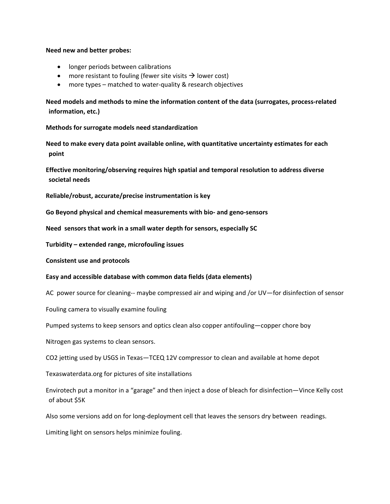#### **Need new and better probes:**

- longer periods between calibrations
- more resistant to fouling (fewer site visits  $\rightarrow$  lower cost)
- more types matched to water‐quality & research objectives

**Need models and methods to mine the information content of the data (surrogates, process‐related information, etc.)**

**Methods for surrogate models need standardization**

**Need to make every data point available online, with quantitative uncertainty estimates for each point**

**Effective monitoring/observing requires high spatial and temporal resolution to address diverse societal needs**

**Reliable/robust, accurate/precise instrumentation is key**

**Go Beyond physical and chemical measurements with bio‐ and geno‐sensors** 

**Need sensors that work in a small water depth for sensors, especially SC**

**Turbidity – extended range, microfouling issues**

**Consistent use and protocols**

#### **Easy and accessible database with common data fields (data elements)**

AC power source for cleaning-- maybe compressed air and wiping and /or UV—for disinfection of sensor

Fouling camera to visually examine fouling

Pumped systems to keep sensors and optics clean also copper antifouling—copper chore boy

Nitrogen gas systems to clean sensors.

CO2 jetting used by USGS in Texas—TCEQ 12V compressor to clean and available at home depot

Texaswaterdata.org for pictures of site installations

Envirotech put a monitor in a "garage" and then inject a dose of bleach for disinfection—Vince Kelly cost of about \$5K

Also some versions add on for long‐deployment cell that leaves the sensors dry between readings.

Limiting light on sensors helps minimize fouling.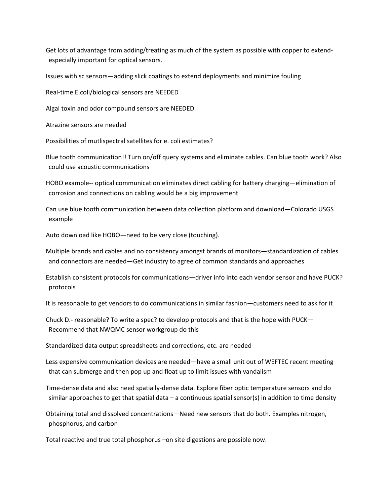Get lots of advantage from adding/treating as much of the system as possible with copper to extend‐ especially important for optical sensors.

Issues with sc sensors—adding slick coatings to extend deployments and minimize fouling

Real‐time E.coli/biological sensors are NEEDED

Algal toxin and odor compound sensors are NEEDED

Atrazine sensors are needed

Possibilities of mutlispectral satellites for e. coli estimates?

Blue tooth communication!! Turn on/off query systems and eliminate cables. Can blue tooth work? Also could use acoustic communications

HOBO example-- optical communication eliminates direct cabling for battery charging-elimination of corrosion and connections on cabling would be a big improvement

Can use blue tooth communication between data collection platform and download—Colorado USGS example

Auto download like HOBO—need to be very close (touching).

Multiple brands and cables and no consistency amongst brands of monitors—standardization of cables and connectors are needed—Get industry to agree of common standards and approaches

Establish consistent protocols for communications—driver info into each vendor sensor and have PUCK? protocols

It is reasonable to get vendors to do communications in similar fashion—customers need to ask for it

Chuck D.‐ reasonable? To write a spec? to develop protocols and that is the hope with PUCK— Recommend that NWQMC sensor workgroup do this

Standardized data output spreadsheets and corrections, etc. are needed

Less expensive communication devices are needed—have a small unit out of WEFTEC recent meeting that can submerge and then pop up and float up to limit issues with vandalism

Time‐dense data and also need spatially‐dense data. Explore fiber optic temperature sensors and do similar approaches to get that spatial data – a continuous spatial sensor(s) in addition to time density

Obtaining total and dissolved concentrations—Need new sensors that do both. Examples nitrogen, phosphorus, and carbon

Total reactive and true total phosphorus –on site digestions are possible now.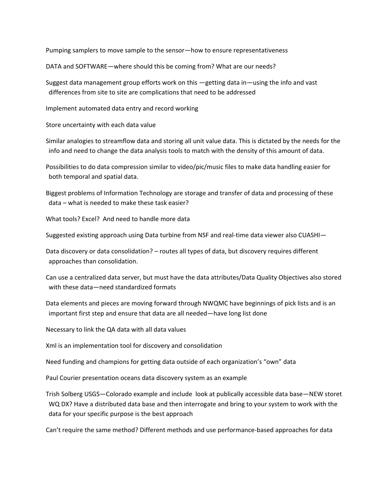Pumping samplers to move sample to the sensor—how to ensure representativeness

DATA and SOFTWARE—where should this be coming from? What are our needs?

Suggest data management group efforts work on this —getting data in—using the info and vast differences from site to site are complications that need to be addressed

Implement automated data entry and record working

Store uncertainty with each data value

Similar analogies to streamflow data and storing all unit value data. This is dictated by the needs for the info and need to change the data analysis tools to match with the density of this amount of data.

Possibilities to do data compression similar to video/pic/music files to make data handling easier for both temporal and spatial data.

Biggest problems of Information Technology are storage and transfer of data and processing of these data – what is needed to make these task easier?

What tools? Excel? And need to handle more data

Suggested existing approach using Data turbine from NSF and real‐time data viewer also CUASHI—

Data discovery or data consolidation? – routes all types of data, but discovery requires different approaches than consolidation.

Can use a centralized data server, but must have the data attributes/Data Quality Objectives also stored with these data—need standardized formats

Data elements and pieces are moving forward through NWQMC have beginnings of pick lists and is an important first step and ensure that data are all needed—have long list done

Necessary to link the QA data with all data values

Xml is an implementation tool for discovery and consolidation

Need funding and champions for getting data outside of each organization's "own" data

Paul Courier presentation oceans data discovery system as an example

Trish Solberg USGS—Colorado example and include look at publically accessible data base—NEW storet WQ DX? Have a distributed data base and then interrogate and bring to your system to work with the data for your specific purpose is the best approach

Can't require the same method? Different methods and use performance‐based approaches for data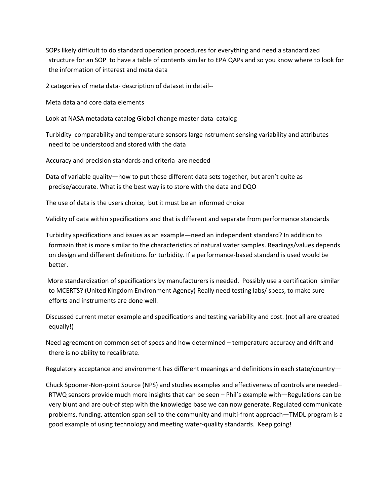SOPs likely difficult to do standard operation procedures for everything and need a standardized structure for an SOP to have a table of contents similar to EPA QAPs and so you know where to look for the information of interest and meta data

2 categories of meta data‐ description of dataset in detail‐‐

Meta data and core data elements

Look at NASA metadata catalog Global change master data catalog

Turbidity comparability and temperature sensors large nstrument sensing variability and attributes need to be understood and stored with the data

Accuracy and precision standards and criteria are needed

Data of variable quality—how to put these different data sets together, but aren't quite as precise/accurate. What is the best way is to store with the data and DQO

The use of data is the users choice, but it must be an informed choice

Validity of data within specifications and that is different and separate from performance standards

Turbidity specifications and issues as an example—need an independent standard? In addition to formazin that is more similar to the characteristics of natural water samples. Readings/values depends on design and different definitions for turbidity. If a performance‐based standard is used would be better.

More standardization of specifications by manufacturers is needed. Possibly use a certification similar to MCERTS? (United Kingdom Environment Agency) Really need testing labs/ specs, to make sure efforts and instruments are done well.

Discussed current meter example and specifications and testing variability and cost. (not all are created equally!)

Need agreement on common set of specs and how determined – temperature accuracy and drift and there is no ability to recalibrate.

Regulatory acceptance and environment has different meanings and definitions in each state/country—

Chuck Spooner‐Non‐point Source (NPS) and studies examples and effectiveness of controls are needed– RTWQ sensors provide much more insights that can be seen – Phil's example with—Regulations can be very blunt and are out‐of step with the knowledge base we can now generate. Regulated communicate problems, funding, attention span sell to the community and multi‐front approach—TMDL program is a good example of using technology and meeting water‐quality standards. Keep going!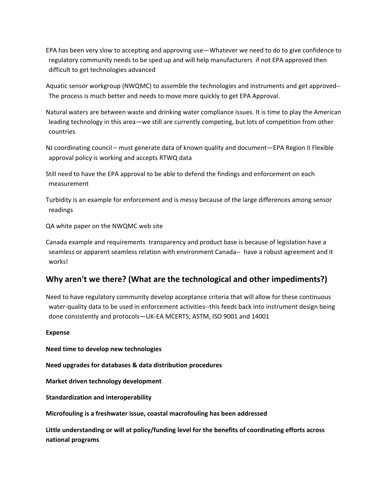EPA has been very slow to accepting and approving use—Whatever we need to do to give confidence to regulatory community needs to be sped up and will help manufacturers if not EPA approved then difficult to get technologies advanced

Aquatic sensor workgroup (NWQMC) to assemble the technologies and instruments and get approved‐‐ The process is much better and needs to move more quickly to get EPA Approval.

Natural waters are between waste and drinking water compliance issues. It is time to play the American leading technology in this area—we still are currently competing, but lots of competition from other countries

NJ coordinating council – must generate data of known quality and document—EPA Region II Flexible approval policy is working and accepts RTWQ data

Still need to have the EPA approval to be able to defend the findings and enforcement on each measurement

Turbidity is an example for enforcement and is messy because of the large differences among sensor readings

QA white paper on the NWQMC web site

Canada example and requirements transparency and product base is because of legislation have a seamless or apparent seamless relation with environment Canada-- have a robust agreement and it works!

## **Why aren't we there? (What are the technological and other impediments?)**

Need to have regulatory community develop acceptance criteria that will allow for these continuous water-quality data to be used in enforcement activities--this feeds back into instrument design being done consistently and protocols—UK‐EA MCERTS; ASTM, ISO 9001 and 14001

#### **Expense**

**Need time to develop new technologies**

**Need upgrades for databases & data distribution procedures**

**Market driven technology development**

**Standardization and interoperability** 

**Microfouling is a freshwater issue, coastal macrofouling has been addressed**

**Little understanding or will at policy/funding level for the benefits of coordinating efforts across national programs**